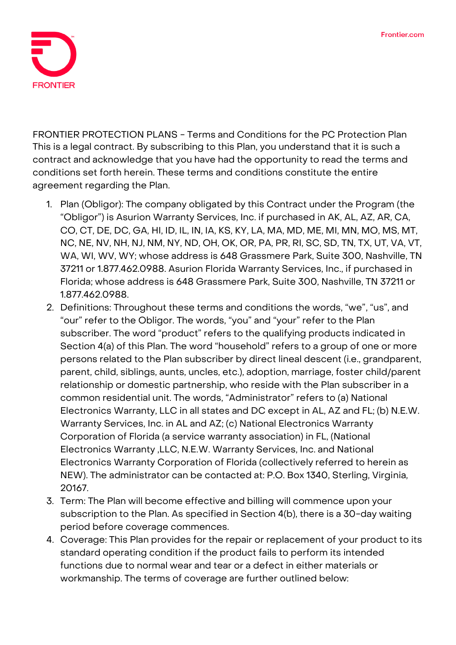

**FRONTIER PROTECTION PLANS - Terms and Conditions for the PC Protection Plan** This is a legal contract. By subscribing to this Plan, you understand that it is such a contract and acknowledge that you have had the opportunity to read the terms and conditions set forth herein. These terms and conditions constitute the entire agreement regarding the Plan.

- 1. **Plan (Obligor):** The company obligated by this Contract under the Program (the "Obligor") is Asurion Warranty Services, Inc. if purchased in AK, AL, AZ, AR, CA, CO, CT, DE, DC, GA, HI, ID, IL, IN, IA, KS, KY, LA, MA, MD, ME, MI, MN, MO, MS, MT, NC, NE, NV, NH, NJ, NM, NY, ND, OH, OK, OR, PA, PR, RI, SC, SD, TN, TX, UT, VA, VT, WA, WI, WV, WY; whose address is 648 Grassmere Park, Suite 300, Nashville, TN 37211 or 1.877.462.0988. Asurion Florida Warranty Services, Inc., if purchased in Florida; whose address is 648 Grassmere Park, Suite 300, Nashville, TN 37211 or 1.877.462.0988.
- 2. **Definitions:** Throughout these terms and conditions the words, "we", "us", and "our" refer to the Obligor. The words, "you" and "your" refer to the Plan subscriber. The word "product" refers to the qualifying products indicated in Section 4(a) of this Plan. The word "household" refers to a group of one or more persons related to the Plan subscriber by direct lineal descent (i.e., grandparent, parent, child, siblings, aunts, uncles, etc.), adoption, marriage, foster child/parent relationship or domestic partnership, who reside with the Plan subscriber in a common residential unit. The words, "Administrator" refers to (a) National Electronics Warranty, LLC in all states and DC except in AL, AZ and FL; (b) N.E.W. Warranty Services, Inc. in AL and AZ; (c) National Electronics Warranty Corporation of Florida (a service warranty association) in FL, (National Electronics Warranty ,LLC, N.E.W. Warranty Services, Inc. and National Electronics Warranty Corporation of Florida (collectively referred to herein as NEW). The administrator can be contacted at: P.O. Box 1340, Sterling, Virginia, 20167.
- 3. **Term:** The Plan will become effective and billing will commence upon your subscription to the Plan. As specified in Section 4(b), there is a 30-day waiting period before coverage commences.
- 4. **Coverage:** This Plan provides for the repair or replacement of your product to its standard operating condition if the product fails to perform its intended functions due to normal wear and tear or a defect in either materials or workmanship. The terms of coverage are further outlined below: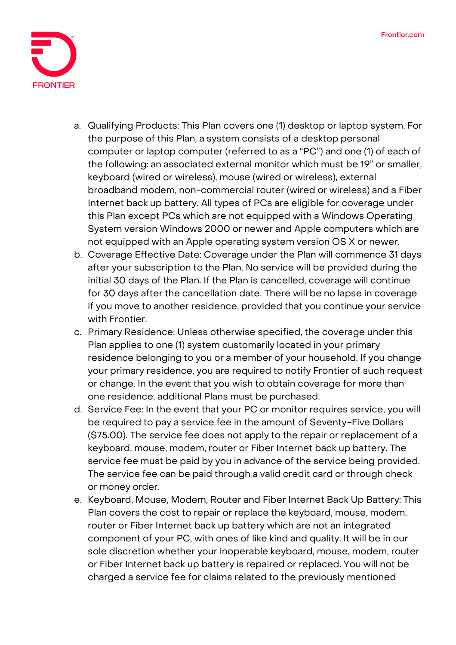

- a. Qualifying Products: This Plan covers one (1) desktop or laptop system. For the purpose of this Plan, a system consists of a desktop personal computer or laptop computer (referred to as a "PC") and one (1) of each of the following: an associated external monitor which must be 19" or smaller, keyboard (wired or wireless), mouse (wired or wireless), external broadband modem, non-commercial router (wired or wireless) and a Fiber Internet back up battery. All types of PCs are eligible for coverage under this Plan except PCs which are not equipped with a Windows Operating System version Windows 2000 or newer and Apple computers which are not equipped with an Apple operating system version OS X or newer.
- b. Coverage Effective Date: **Coverage under the Plan will commence 31 days after your subscription to the Plan. No service will be provided during the initial 30 days of the Plan. If the Plan is cancelled, coverage will continue for 30 days after the cancellation date.** There will be no lapse in coverage if you move to another residence, provided that you continue your service with Frontier.
- c. Primary Residence: Unless otherwise specified, the coverage under this Plan applies to one (1) system customarily located in your primary residence belonging to you or a member of your household. If you change your primary residence, you are required to notify Frontier of such request or change. In the event that you wish to obtain coverage for more than one residence, additional Plans must be purchased.
- d. Service Fee**: In the event that your PC or monitor requires service, you will be required to pay a service fee in the amount of Seventy-Five Dollars (\$75.00).** The service fee does not apply to the repair or replacement of a keyboard, mouse, modem, router or Fiber Internet back up battery. The service fee must be paid by you in advance of the service being provided. The service fee can be paid through a valid credit card or through check or money order.
- e. Keyboard, Mouse, Modem, Router and Fiber Internet Back Up Battery: This Plan covers the cost to repair or replace the keyboard, mouse, modem, router or Fiber Internet back up battery which are not an integrated component of your PC, with ones of like kind and quality. It will be in our sole discretion whether your inoperable keyboard, mouse, modem, router or Fiber Internet back up battery is repaired or replaced. You will not be charged a service fee for claims related to the previously mentioned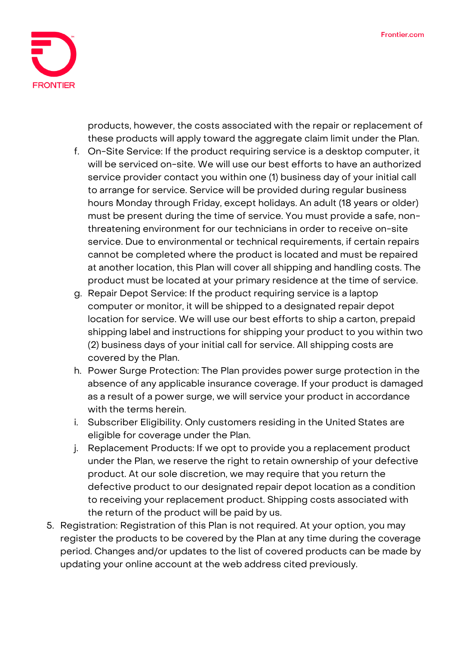

products, however, the costs associated with the repair or replacement of these products will apply toward the aggregate claim limit under the Plan.

- f. On-Site Service: If the product requiring service is a desktop computer, it will be serviced on-site. We will use our best efforts to have an authorized service provider contact you within one (1) business day of your initial call to arrange for service. Service will be provided during regular business hours Monday through Friday, except holidays. An adult (18 years or older) must be present during the time of service. You must provide a safe, nonthreatening environment for our technicians in order to receive on-site service. Due to environmental or technical requirements, if certain repairs cannot be completed where the product is located and must be repaired at another location, this Plan will cover all shipping and handling costs. The product must be located at your primary residence at the time of service.
- g. Repair Depot Service: If the product requiring service is a laptop computer or monitor, it will be shipped to a designated repair depot location for service. We will use our best efforts to ship a carton, prepaid shipping label and instructions for shipping your product to you within two (2) business days of your initial call for service. All shipping costs are covered by the Plan.
- h. Power Surge Protection: The Plan provides power surge protection in the absence of any applicable insurance coverage. If your product is damaged as a result of a power surge, we will service your product in accordance with the terms herein.
- i. Subscriber Eligibility. Only customers residing in the United States are eligible for coverage under the Plan.
- j. Replacement Products: If we opt to provide you a replacement product under the Plan, we reserve the right to retain ownership of your defective product. At our sole discretion, we may require that you return the defective product to our designated repair depot location as a condition to receiving your replacement product. Shipping costs associated with the return of the product will be paid by us.
- 5. **Registration:** Registration of this Plan is not required. At your option, you may register the products to be covered by the Plan at any time during the coverage period. Changes and/or updates to the list of covered products can be made by updating your online account at the web address cited previously.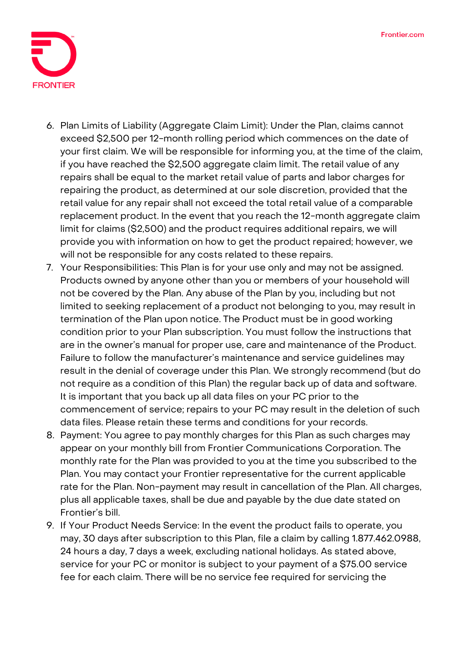

- 6. **Plan Limits of Liability (Aggregate Claim Limit):** Under the Plan, claims cannot exceed \$2,500 per 12-month rolling period which commences on the date of your first claim. We will be responsible for informing you, at the time of the claim, if you have reached the \$2,500 aggregate claim limit. The retail value of any repairs shall be equal to the market retail value of parts and labor charges for repairing the product, as determined at our sole discretion, provided that the retail value for any repair shall not exceed the total retail value of a comparable replacement product. In the event that you reach the 12-month aggregate claim limit for claims (\$2,500) and the product requires additional repairs, we will provide you with information on how to get the product repaired; however, we will not be responsible for any costs related to these repairs.
- 7. **Your Responsibilities:** This Plan is for your use only and may not be assigned. Products owned by anyone other than you or members of your household will not be covered by the Plan. Any abuse of the Plan by you, including but not limited to seeking replacement of a product not belonging to you, may result in termination of the Plan upon notice. The Product must be in good working condition prior to your Plan subscription. You must follow the instructions that are in the owner's manual for proper use, care and maintenance of the Product. Failure to follow the manufacturer's maintenance and service guidelines may result in the denial of coverage under this Plan. We strongly recommend (but do not require as a condition of this Plan) the regular back up of data and software. It is important that you back up all data files on your PC prior to the commencement of service; repairs to your PC may result in the deletion of such data files. Please retain these terms and conditions for your records.
- 8. **Payment:** You agree to pay monthly charges for this Plan as such charges may appear on your monthly bill from Frontier Communications Corporation. The monthly rate for the Plan was provided to you at the time you subscribed to the Plan. You may contact your Frontier representative for the current applicable rate for the Plan. Non-payment may result in cancellation of the Plan. All charges, plus all applicable taxes, shall be due and payable by the due date stated on Frontier's bill.
- 9. **If Your Product Needs Service:** In the event the product fails to operate, you may, 30 days after subscription to this Plan, file a claim by calling 1.877.462.0988, 24 hours a day, 7 days a week, excluding national holidays. As stated above, service for your PC or monitor is subject to your payment of a \$75.00 service fee for each claim. There will be no service fee required for servicing the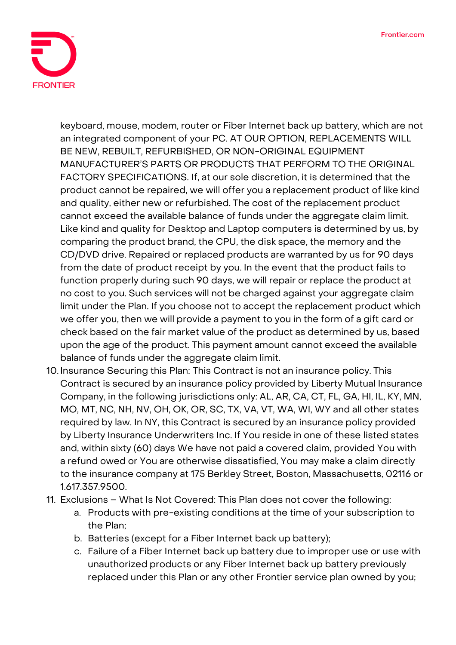

keyboard, mouse, modem, router or Fiber Internet back up battery, which are not an integrated component of your PC. **AT OUR OPTION, REPLACEMENTS WILL BE NEW, REBUILT, REFURBISHED, OR NON-ORIGINAL EQUIPMENT MANUFACTURER'S PARTS OR PRODUCTS THAT PERFORM TO THE ORIGINAL FACTORY SPECIFICATIONS.** If, at our sole discretion, it is determined that the product cannot be repaired, we will offer you a replacement product of like kind and quality, either new or refurbished. The cost of the replacement product cannot exceed the available balance of funds under the aggregate claim limit. Like kind and quality for Desktop and Laptop computers is determined by us, by comparing the product brand, the CPU, the disk space, the memory and the CD/DVD drive. Repaired or replaced products are warranted by us for 90 days from the date of product receipt by you. In the event that the product fails to function properly during such 90 days, we will repair or replace the product at no cost to you. Such services will not be charged against your aggregate claim limit under the Plan. If you choose not to accept the replacement product which we offer you, then we will provide a payment to you in the form of a gift card or check based on the fair market value of the product as determined by us, based upon the age of the product. This payment amount cannot exceed the available balance of funds under the aggregate claim limit.

- 10. **Insurance Securing this Plan:** This Contract is not an insurance policy. This Contract is secured by an insurance policy provided by Liberty Mutual Insurance Company, in the following jurisdictions only: AL, AR, CA, CT, FL, GA, HI, IL, KY, MN, MO, MT, NC, NH, NV, OH, OK, OR, SC, TX, VA, VT, WA, WI, WY and all other states required by law. In NY, this Contract is secured by an insurance policy provided by Liberty Insurance Underwriters Inc. If You reside in one of these listed states and, within sixty (60) days We have not paid a covered claim, provided You with a refund owed or You are otherwise dissatisfied, You may make a claim directly to the insurance company at 175 Berkley Street, Boston, Massachusetts, 02116 or 1.617.357.9500.
- 11. **Exclusions – What Is Not Covered:** This Plan does not cover the following:
	- a. Products with pre-existing conditions at the time of your subscription to the Plan;
	- b. Batteries (except for a Fiber Internet back up battery);
	- c. Failure of a Fiber Internet back up battery due to improper use or use with unauthorized products or any Fiber Internet back up battery previously replaced under this Plan or any other Frontier service plan owned by you;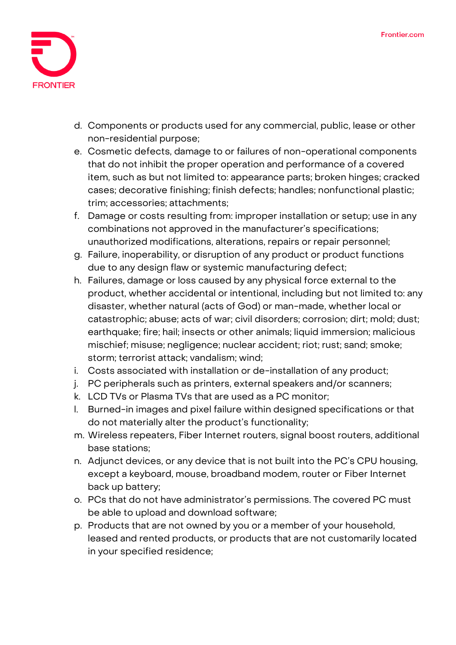

- d. Components or products used for any commercial, public, lease or other non-residential purpose;
- e. Cosmetic defects, damage to or failures of non-operational components that do not inhibit the proper operation and performance of a covered item, such as but not limited to: appearance parts; broken hinges; cracked cases; decorative finishing; finish defects; handles; nonfunctional plastic; trim; accessories; attachments;
- f. Damage or costs resulting from: improper installation or setup; use in any combinations not approved in the manufacturer's specifications; unauthorized modifications, alterations, repairs or repair personnel;
- g. Failure, inoperability, or disruption of any product or product functions due to any design flaw or systemic manufacturing defect;
- h. Failures, damage or loss caused by any physical force external to the product, whether accidental or intentional, including but not limited to: any disaster, whether natural (acts of God) or man-made, whether local or catastrophic; abuse; acts of war; civil disorders; corrosion; dirt; mold; dust; earthquake; fire; hail; insects or other animals; liquid immersion; malicious mischief; misuse; negligence; nuclear accident; riot; rust; sand; smoke; storm; terrorist attack; vandalism; wind;
- i. Costs associated with installation or de-installation of any product;
- j. PC peripherals such as printers, external speakers and/or scanners;
- k. LCD TVs or Plasma TVs that are used as a PC monitor;
- l. Burned-in images and pixel failure within designed specifications or that do not materially alter the product's functionality;
- m. Wireless repeaters, Fiber Internet routers, signal boost routers, additional base stations;
- n. Adjunct devices, or any device that is not built into the PC's CPU housing, except a keyboard, mouse, broadband modem, router or Fiber Internet back up battery;
- o. PCs that do not have administrator's permissions. The covered PC must be able to upload and download software;
- p. Products that are not owned by you or a member of your household, leased and rented products, or products that are not customarily located in your specified residence;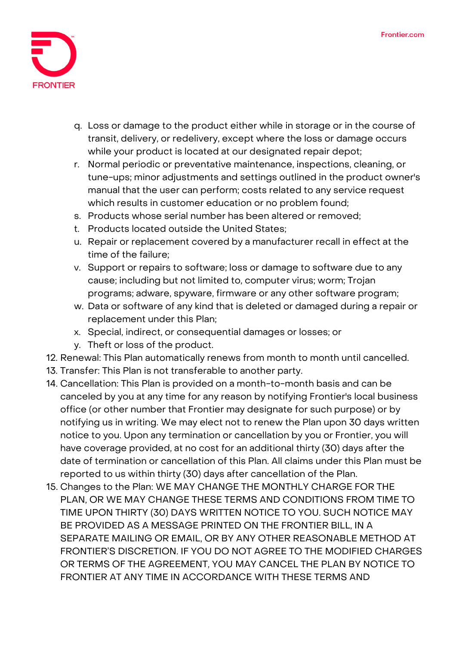

- q. Loss or damage to the product either while in storage or in the course of transit, delivery, or redelivery, except where the loss or damage occurs while your product is located at our designated repair depot;
- r. Normal periodic or preventative maintenance, inspections, cleaning, or tune-ups; minor adjustments and settings outlined in the product owner's manual that the user can perform; costs related to any service request which results in customer education or no problem found;
- s. Products whose serial number has been altered or removed;
- t. Products located outside the United States;
- u. Repair or replacement covered by a manufacturer recall in effect at the time of the failure;
- v. Support or repairs to software; loss or damage to software due to any cause; including but not limited to, computer virus; worm; Trojan programs; adware, spyware, firmware or any other software program;
- w. Data or software of any kind that is deleted or damaged during a repair or replacement under this Plan;
- x. Special, indirect, or consequential damages or losses; or
- y. Theft or loss of the product.
- 12. **Renewal:** This Plan automatically renews from month to month until cancelled.
- 13. **Transfer:** This Plan is not transferable to another party.
- 14. **Cancellation:** This Plan is provided on a month-to-month basis and can be canceled by you at any time for any reason by notifying Frontier's local business office (or other number that Frontier may designate for such purpose) or by notifying us in writing. We may elect not to renew the Plan upon 30 days written notice to you. Upon any termination or cancellation by you or Frontier, you will have coverage provided, at no cost for an additional thirty (30) days after the date of termination or cancellation of this Plan. All claims under this Plan must be reported to us within thirty (30) days after cancellation of the Plan.
- 15. **Changes to the Plan:** WE MAY CHANGE THE MONTHLY CHARGE FOR THE PLAN, OR WE MAY CHANGE THESE TERMS AND CONDITIONS FROM TIME TO TIME UPON THIRTY (30) DAYS WRITTEN NOTICE TO YOU. SUCH NOTICE MAY BE PROVIDED AS A MESSAGE PRINTED ON THE FRONTIER BILL, IN A SEPARATE MAILING OR EMAIL, OR BY ANY OTHER REASONABLE METHOD AT FRONTIER'S DISCRETION. IF YOU DO NOT AGREE TO THE MODIFIED CHARGES OR TERMS OF THE AGREEMENT, YOU MAY CANCEL THE PLAN BY NOTICE TO FRONTIER AT ANY TIME IN ACCORDANCE WITH THESE TERMS AND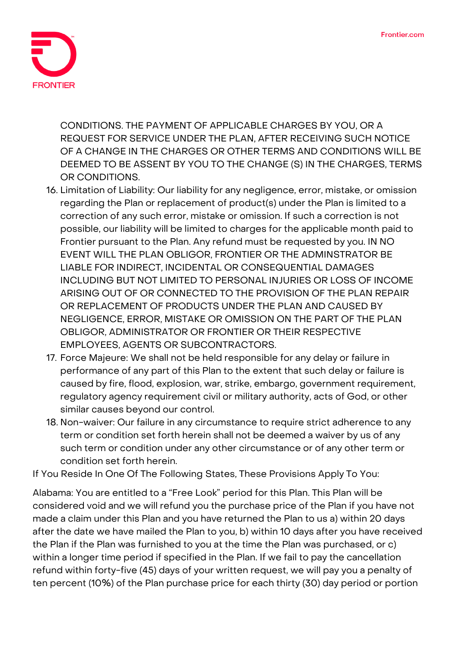

CONDITIONS. THE PAYMENT OF APPLICABLE CHARGES BY YOU, OR A REQUEST FOR SERVICE UNDER THE PLAN, AFTER RECEIVING SUCH NOTICE OF A CHANGE IN THE CHARGES OR OTHER TERMS AND CONDITIONS WILL BE DEEMED TO BE ASSENT BY YOU TO THE CHANGE (S) IN THE CHARGES, TERMS OR CONDITIONS.

- 16. **Limitation of Liability:** Our liability for any negligence, error, mistake, or omission regarding the Plan or replacement of product(s) under the Plan is limited to a correction of any such error, mistake or omission. If such a correction is not possible, our liability will be limited to charges for the applicable month paid to Frontier pursuant to the Plan. Any refund must be requested by you. IN NO EVENT WILL THE PLAN OBLIGOR, FRONTIER OR THE ADMINSTRATOR BE LIABLE FOR INDIRECT, INCIDENTAL OR CONSEQUENTIAL DAMAGES INCLUDING BUT NOT LIMITED TO PERSONAL INJURIES OR LOSS OF INCOME ARISING OUT OF OR CONNECTED TO THE PROVISION OF THE PLAN REPAIR OR REPLACEMENT OF PRODUCTS UNDER THE PLAN AND CAUSED BY NEGLIGENCE, ERROR, MISTAKE OR OMISSION ON THE PART OF THE PLAN OBLIGOR, ADMINISTRATOR OR FRONTIER OR THEIR RESPECTIVE EMPLOYEES, AGENTS OR SUBCONTRACTORS.
- 17. **Force Majeure:** We shall not be held responsible for any delay or failure in performance of any part of this Plan to the extent that such delay or failure is caused by fire, flood, explosion, war, strike, embargo, government requirement, regulatory agency requirement civil or military authority, acts of God, or other similar causes beyond our control.
- 18. **Non-waiver:** Our failure in any circumstance to require strict adherence to any term or condition set forth herein shall not be deemed a waiver by us of any such term or condition under any other circumstance or of any other term or condition set forth herein.

**If You Reside In One Of The Following States, These Provisions Apply To You:**

**Alabama:** You are entitled to a "Free Look" period for this Plan. This Plan will be considered void and we will refund you the purchase price of the Plan if you have not made a claim under this Plan and you have returned the Plan to us a) within 20 days after the date we have mailed the Plan to you, b) within 10 days after you have received the Plan if the Plan was furnished to you at the time the Plan was purchased, or c) within a longer time period if specified in the Plan. If we fail to pay the cancellation refund within forty-five (45) days of your written request, we will pay you a penalty of ten percent (10%) of the Plan purchase price for each thirty (30) day period or portion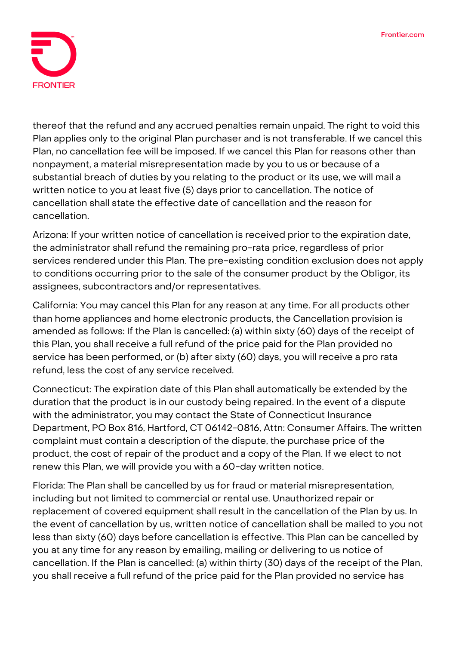

thereof that the refund and any accrued penalties remain unpaid. The right to void this Plan applies only to the original Plan purchaser and is not transferable. If we cancel this Plan, no cancellation fee will be imposed. If we cancel this Plan for reasons other than nonpayment, a material misrepresentation made by you to us or because of a substantial breach of duties by you relating to the product or its use, we will mail a written notice to you at least five (5) days prior to cancellation. The notice of cancellation shall state the effective date of cancellation and the reason for cancellation.

**Arizona:** If your written notice of cancellation is received prior to the expiration date, the administrator shall refund the remaining pro-rata price, regardless of prior services rendered under this Plan. The pre-existing condition exclusion does not apply to conditions occurring prior to the sale of the consumer product by the Obligor, its assignees, subcontractors and/or representatives.

**California:** You may cancel this Plan for any reason at any time. For all products other than home appliances and home electronic products, the Cancellation provision is amended as follows: If the Plan is cancelled: (a) within sixty (60) days of the receipt of this Plan, you shall receive a full refund of the price paid for the Plan provided no service has been performed, or (b) after sixty (60) days, you will receive a pro rata refund, less the cost of any service received.

**Connecticut:** The expiration date of this Plan shall automatically be extended by the duration that the product is in our custody being repaired. In the event of a dispute with the administrator, you may contact the State of Connecticut Insurance Department, PO Box 816, Hartford, CT 06142-0816, Attn: Consumer Affairs. The written complaint must contain a description of the dispute, the purchase price of the product, the cost of repair of the product and a copy of the Plan. If we elect to not renew this Plan, we will provide you with a 60-day written notice.

**Florida:** The Plan shall be cancelled by us for fraud or material misrepresentation, including but not limited to commercial or rental use. Unauthorized repair or replacement of covered equipment shall result in the cancellation of the Plan by us. In the event of cancellation by us, written notice of cancellation shall be mailed to you not less than sixty (60) days before cancellation is effective. This Plan can be cancelled by you at any time for any reason by emailing, mailing or delivering to us notice of cancellation. If the Plan is cancelled: (a) within thirty (30) days of the receipt of the Plan, you shall receive a full refund of the price paid for the Plan provided no service has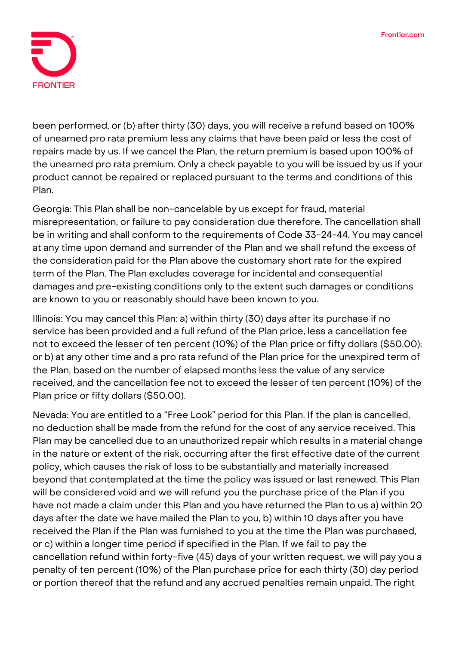

been performed, or (b) after thirty (30) days, you will receive a refund based on 100% of unearned pro rata premium less any claims that have been paid or less the cost of repairs made by us. If we cancel the Plan, the return premium is based upon 100% of the unearned pro rata premium. Only a check payable to you will be issued by us if your product cannot be repaired or replaced pursuant to the terms and conditions of this Plan.

**Georgia:** This Plan shall be non-cancelable by us except for fraud, material misrepresentation, or failure to pay consideration due therefore. The cancellation shall be in writing and shall conform to the requirements of Code 33-24-44. You may cancel at any time upon demand and surrender of the Plan and we shall refund the excess of the consideration paid for the Plan above the customary short rate for the expired term of the Plan. The Plan excludes coverage for incidental and consequential damages and pre-existing conditions only to the extent such damages or conditions are known to you or reasonably should have been known to you.

**Illinois:** You may cancel this Plan: a) within thirty (30) days after its purchase if no service has been provided and a full refund of the Plan price, less a cancellation fee not to exceed the lesser of ten percent (10%) of the Plan price or fifty dollars (\$50.00); or b) at any other time and a pro rata refund of the Plan price for the unexpired term of the Plan, based on the number of elapsed months less the value of any service received, and the cancellation fee not to exceed the lesser of ten percent (10%) of the Plan price or fifty dollars (\$50.00).

**Nevada:** You are entitled to a "Free Look" period for this Plan. If the plan is cancelled, no deduction shall be made from the refund for the cost of any service received. This Plan may be cancelled due to an unauthorized repair which results in a material change in the nature or extent of the risk, occurring after the first effective date of the current policy, which causes the risk of loss to be substantially and materially increased beyond that contemplated at the time the policy was issued or last renewed. This Plan will be considered void and we will refund you the purchase price of the Plan if you have not made a claim under this Plan and you have returned the Plan to us a) within 20 days after the date we have mailed the Plan to you, b) within 10 days after you have received the Plan if the Plan was furnished to you at the time the Plan was purchased, or c) within a longer time period if specified in the Plan. If we fail to pay the cancellation refund within forty-five (45) days of your written request, we will pay you a penalty of ten percent (10%) of the Plan purchase price for each thirty (30) day period or portion thereof that the refund and any accrued penalties remain unpaid. The right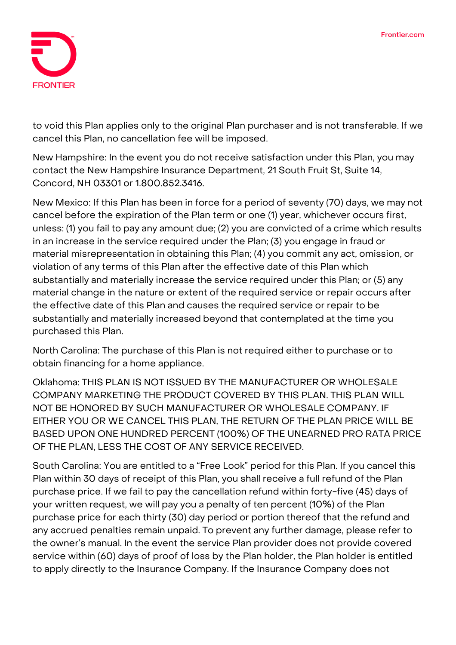

to void this Plan applies only to the original Plan purchaser and is not transferable. If we cancel this Plan, no cancellation fee will be imposed.

**New Hampshire:** In the event you do not receive satisfaction under this Plan, you may contact the New Hampshire Insurance Department, 21 South Fruit St, Suite 14, Concord, NH 03301 or 1.800.852.3416.

**New Mexico:** If this Plan has been in force for a period of seventy (70) days, we may not cancel before the expiration of the Plan term or one (1) year, whichever occurs first, unless: (1) you fail to pay any amount due; (2) you are convicted of a crime which results in an increase in the service required under the Plan; (3) you engage in fraud or material misrepresentation in obtaining this Plan; (4) you commit any act, omission, or violation of any terms of this Plan after the effective date of this Plan which substantially and materially increase the service required under this Plan; or (5) any material change in the nature or extent of the required service or repair occurs after the effective date of this Plan and causes the required service or repair to be substantially and materially increased beyond that contemplated at the time you purchased this Plan.

**North Carolina:** The purchase of this Plan is not required either to purchase or to obtain financing for a home appliance.

**Oklahoma:** THIS PLAN IS NOT ISSUED BY THE MANUFACTURER OR WHOLESALE COMPANY MARKETING THE PRODUCT COVERED BY THIS PLAN. THIS PLAN WILL NOT BE HONORED BY SUCH MANUFACTURER OR WHOLESALE COMPANY. IF EITHER YOU OR WE CANCEL THIS PLAN, THE RETURN OF THE PLAN PRICE WILL BE BASED UPON ONE HUNDRED PERCENT (100%) OF THE UNEARNED PRO RATA PRICE OF THE PLAN, LESS THE COST OF ANY SERVICE RECEIVED.

**South Carolina:** You are entitled to a "Free Look" period for this Plan. If you cancel this Plan within 30 days of receipt of this Plan, you shall receive a full refund of the Plan purchase price. If we fail to pay the cancellation refund within forty-five (45) days of your written request, we will pay you a penalty of ten percent (10%) of the Plan purchase price for each thirty (30) day period or portion thereof that the refund and any accrued penalties remain unpaid. To prevent any further damage, please refer to the owner's manual. In the event the service Plan provider does not provide covered service within (60) days of proof of loss by the Plan holder, the Plan holder is entitled to apply directly to the Insurance Company. If the Insurance Company does not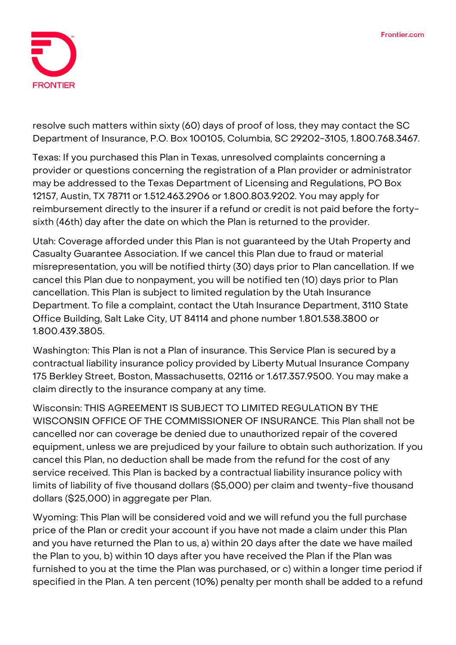

resolve such matters within sixty (60) days of proof of loss, they may contact the SC Department of Insurance, P.O. Box 100105, Columbia, SC 29202-3105, 1.800.768.3467.

**Texas:** If you purchased this Plan in Texas, unresolved complaints concerning a provider or questions concerning the registration of a Plan provider or administrator may be addressed to the Texas Department of Licensing and Regulations, PO Box 12157, Austin, TX 78711 or 1.512.463.2906 or 1.800.803.9202. You may apply for reimbursement directly to the insurer if a refund or credit is not paid before the fortysixth (46th) day after the date on which the Plan is returned to the provider.

**Utah:** Coverage afforded under this Plan is not guaranteed by the Utah Property and Casualty Guarantee Association. If we cancel this Plan due to fraud or material misrepresentation, you will be notified thirty (30) days prior to Plan cancellation. If we cancel this Plan due to nonpayment, you will be notified ten (10) days prior to Plan cancellation. This Plan is subject to limited regulation by the Utah Insurance Department. To file a complaint, contact the Utah Insurance Department, 3110 State Office Building, Salt Lake City, UT 84114 and phone number 1.801.538.3800 or 1.800.439.3805.

**Washington:** This Plan is not a Plan of insurance. This Service Plan is secured by a contractual liability insurance policy provided by Liberty Mutual Insurance Company 175 Berkley Street, Boston, Massachusetts, 02116 or 1.617.357.9500. You may make a claim directly to the insurance company at any time.

**Wisconsin: THIS AGREEMENT IS SUBJECT TO LIMITED REGULATION BY THE WISCONSIN OFFICE OF THE COMMISSIONER OF INSURANCE.** This Plan shall not be cancelled nor can coverage be denied due to unauthorized repair of the covered equipment, unless we are prejudiced by your failure to obtain such authorization. If you cancel this Plan, no deduction shall be made from the refund for the cost of any service received. This Plan is backed by a contractual liability insurance policy with limits of liability of five thousand dollars (\$5,000) per claim and twenty-five thousand dollars (\$25,000) in aggregate per Plan.

**Wyoming:** This Plan will be considered void and we will refund you the full purchase price of the Plan or credit your account if you have not made a claim under this Plan and you have returned the Plan to us, a) within 20 days after the date we have mailed the Plan to you, b) within 10 days after you have received the Plan if the Plan was furnished to you at the time the Plan was purchased, or c) within a longer time period if specified in the Plan. A ten percent (10%) penalty per month shall be added to a refund